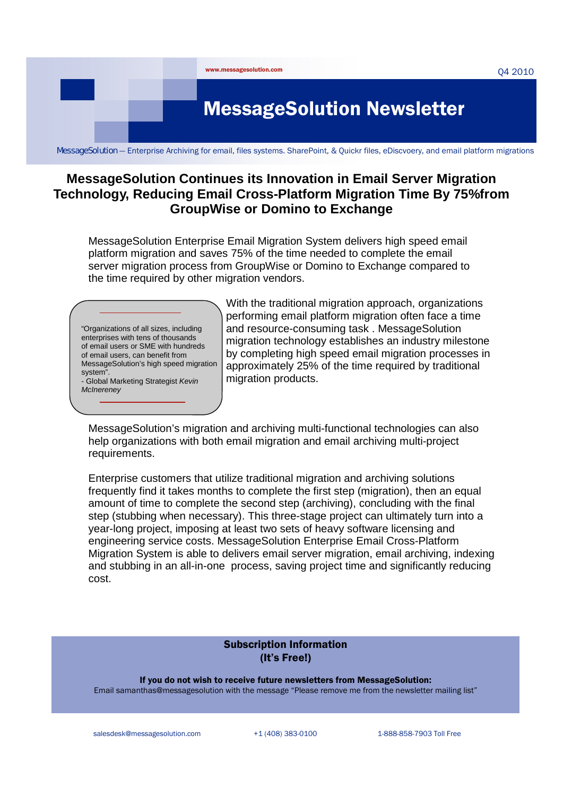

## **MessageSolution Continues its Innovation in Email Server Migration Technology, Reducing Email Cross-Platform Migration Time By 75%from GroupWise or Domino to Exchange**

MessageSolution Enterprise Email Migration System delivers high speed email platform migration and saves 75% of the time needed to complete the email server migration process from GroupWise or Domino to Exchange compared to the time required by other migration vendors.

"Organizations of all sizes, including enterprises with tens of thousands of email users or SME with hundreds of email users, can benefit from MessageSolution's high speed migration system". - Global Marketing Strategist *Kevin McInereney* 

With the traditional migration approach, organizations performing email platform migration often face a time and resource-consuming task . MessageSolution migration technology establishes an industry milestone by completing high speed email migration processes in approximately 25% of the time required by traditional migration products.

MessageSolution's migration and archiving multi-functional technologies can also help organizations with both email migration and email archiving multi-project requirements.

Enterprise customers that utilize traditional migration and archiving solutions frequently find it takes months to complete the first step (migration), then an equal amount of time to complete the second step (archiving), concluding with the final step (stubbing when necessary). This three-stage project can ultimately turn into a year-long project, imposing at least two sets of heavy software licensing and engineering service costs. MessageSolution Enterprise Email Cross-Platform Migration System is able to delivers email server migration, email archiving, indexing and stubbing in an all-in-one process, saving project time and significantly reducing cost.

#### Subscription Information (It's Free!)

If you do not wish to receive future newsletters from MessageSolution: Email samanthas@messagesolution with the message "Please remove me from the newsletter mailing list"

salesdesk@messagesolution.com +1 (408) 383-0100 1-888-858-7903 Toll Free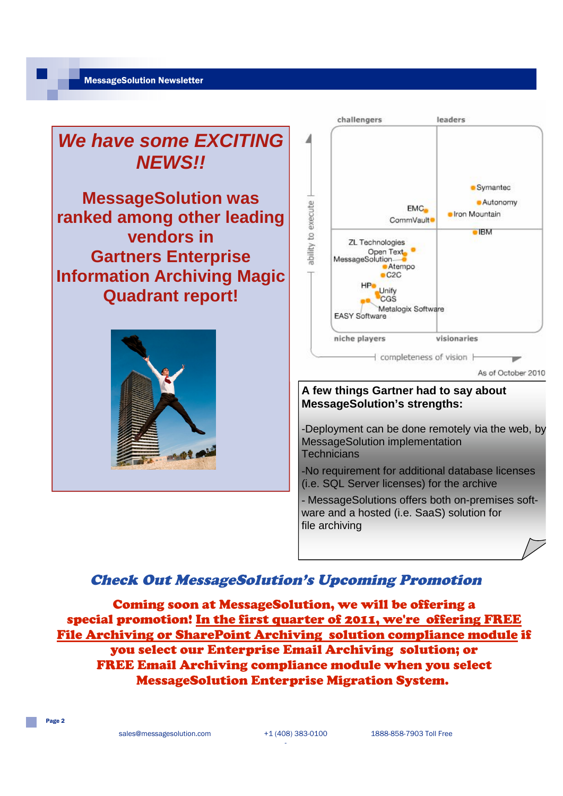

### Check Out MessageSolution's Upcoming Promotion

Coming soon at MessageSolution, we will be offering a special promotion! In the first quarter of 2011, we're offering FREE File Archiving or SharePoint Archiving solution compliance module if you select our Enterprise Email Archiving solution; or FREE Email Archiving compliance module when you select MessageSolution Enterprise Migration System.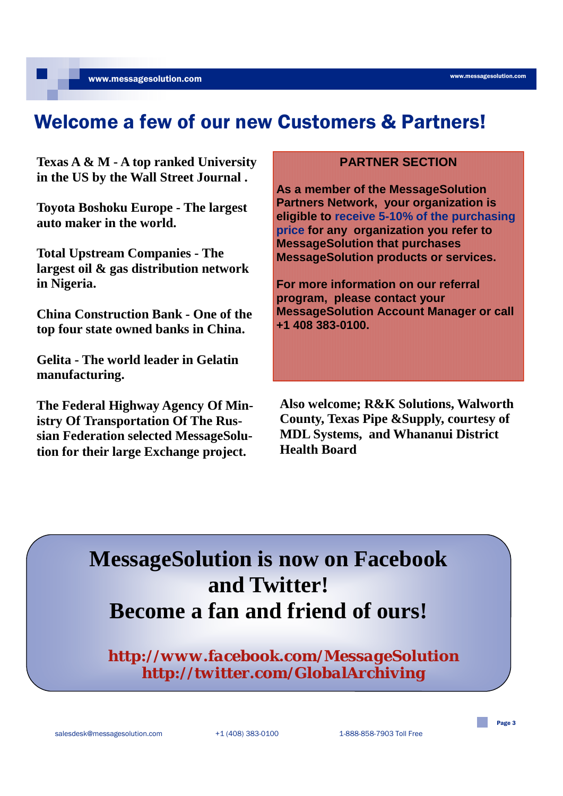www.messagesolution.com

# Welcome a few of our new Customers & Partners!

**Texas A & M - A top ranked University in the US by the Wall Street Journal .**

**Toyota Boshoku Europe - The largest auto maker in the world.**

**Total Upstream Companies - The largest oil & gas distribution network in Nigeria.**

**China Construction Bank - One of the top four state owned banks in China.**

**Gelita - The world leader in Gelatin manufacturing.** 

**The Federal Highway Agency Of Ministry Of Transportation Of The Russian Federation selected MessageSolution for their large Exchange project.**

#### **PARTNER SECTION**

**As a member of the MessageSolution Partners Network, your organization is eligible to receive 5-10% of the purchasing price for any organization you refer to MessageSolution that purchases MessageSolution products or services.**

**For more information on our referral program, please contact your MessageSolution Account Manager or call +1 408 383-0100.**

**Also welcome; R&K Solutions, Walworth County, Texas Pipe &Supply, courtesy of MDL Systems, and Whananui District Health Board**

# **MessageSolution is now on Facebook and Twitter! Become a fan and friend of ours!**

*http://www.facebook.com/MessageSolution http://twitter.com/GlobalArchiving*

Page 3